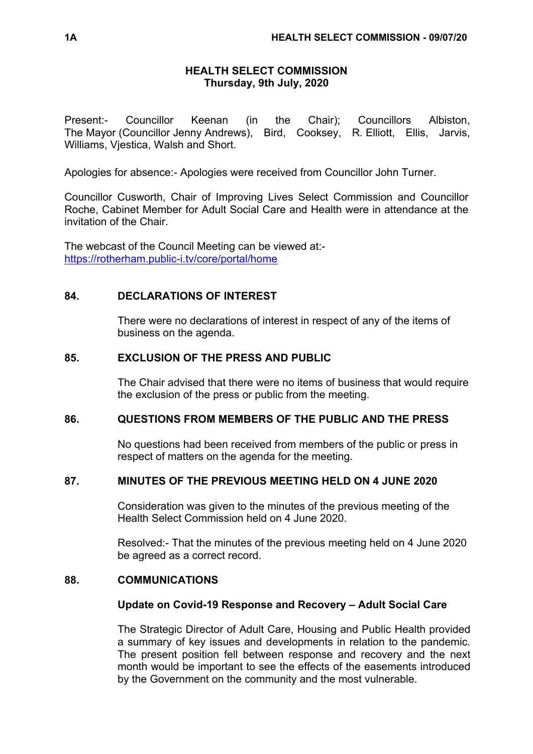## **HEALTH SELECT COMMISSION Thursday, 9th July, 2020**

Present:- Councillor Keenan (in the Chair); Councillors Albiston, The Mayor (Councillor Jenny Andrews), Bird, Cooksey, R. Elliott, Ellis, Jarvis, Williams, Vjestica, Walsh and Short.

Apologies for absence:- Apologies were received from Councillor John Turner.

Councillor Cusworth, Chair of Improving Lives Select Commission and Councillor Roche, Cabinet Member for Adult Social Care and Health were in attendance at the invitation of the Chair.

The webcast of the Council Meeting can be viewed at: <https://rotherham.public-i.tv/core/portal/home>

## **84. DECLARATIONS OF INTEREST**

There were no declarations of interest in respect of any of the items of business on the agenda.

### **85. EXCLUSION OF THE PRESS AND PUBLIC**

The Chair advised that there were no items of business that would require the exclusion of the press or public from the meeting.

## **86. QUESTIONS FROM MEMBERS OF THE PUBLIC AND THE PRESS**

No questions had been received from members of the public or press in respect of matters on the agenda for the meeting.

## **87. MINUTES OF THE PREVIOUS MEETING HELD ON 4 JUNE 2020**

Consideration was given to the minutes of the previous meeting of the Health Select Commission held on 4 June 2020.

Resolved:- That the minutes of the previous meeting held on 4 June 2020 be agreed as a correct record.

#### **88. COMMUNICATIONS**

#### **Update on Covid-19 Response and Recovery – Adult Social Care**

The Strategic Director of Adult Care, Housing and Public Health provided a summary of key issues and developments in relation to the pandemic. The present position fell between response and recovery and the next month would be important to see the effects of the easements introduced by the Government on the community and the most vulnerable.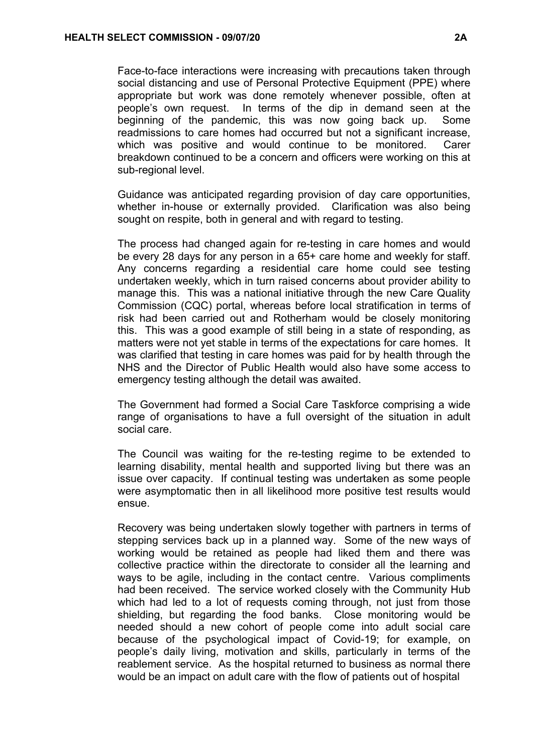Face-to-face interactions were increasing with precautions taken through social distancing and use of Personal Protective Equipment (PPE) where appropriate but work was done remotely whenever possible, often at people's own request. In terms of the dip in demand seen at the beginning of the pandemic, this was now going back up. Some readmissions to care homes had occurred but not a significant increase, which was positive and would continue to be monitored. Carer breakdown continued to be a concern and officers were working on this at sub-regional level.

Guidance was anticipated regarding provision of day care opportunities, whether in-house or externally provided. Clarification was also being sought on respite, both in general and with regard to testing.

The process had changed again for re-testing in care homes and would be every 28 days for any person in a 65+ care home and weekly for staff. Any concerns regarding a residential care home could see testing undertaken weekly, which in turn raised concerns about provider ability to manage this. This was a national initiative through the new Care Quality Commission (CQC) portal, whereas before local stratification in terms of risk had been carried out and Rotherham would be closely monitoring this. This was a good example of still being in a state of responding, as matters were not yet stable in terms of the expectations for care homes. It was clarified that testing in care homes was paid for by health through the NHS and the Director of Public Health would also have some access to emergency testing although the detail was awaited.

The Government had formed a Social Care Taskforce comprising a wide range of organisations to have a full oversight of the situation in adult social care.

The Council was waiting for the re-testing regime to be extended to learning disability, mental health and supported living but there was an issue over capacity. If continual testing was undertaken as some people were asymptomatic then in all likelihood more positive test results would ensue.

Recovery was being undertaken slowly together with partners in terms of stepping services back up in a planned way. Some of the new ways of working would be retained as people had liked them and there was collective practice within the directorate to consider all the learning and ways to be agile, including in the contact centre. Various compliments had been received. The service worked closely with the Community Hub which had led to a lot of requests coming through, not just from those shielding, but regarding the food banks. Close monitoring would be needed should a new cohort of people come into adult social care because of the psychological impact of Covid-19; for example, on people's daily living, motivation and skills, particularly in terms of the reablement service. As the hospital returned to business as normal there would be an impact on adult care with the flow of patients out of hospital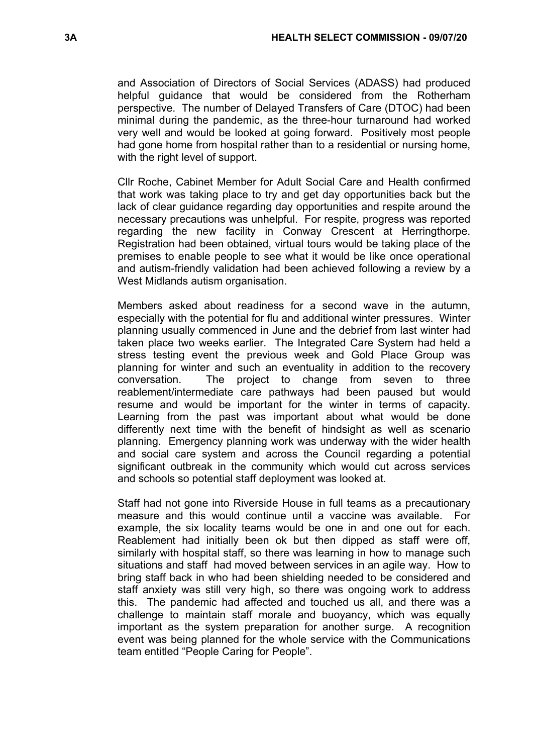and Association of Directors of Social Services (ADASS) had produced helpful guidance that would be considered from the Rotherham perspective. The number of Delayed Transfers of Care (DTOC) had been minimal during the pandemic, as the three-hour turnaround had worked very well and would be looked at going forward. Positively most people had gone home from hospital rather than to a residential or nursing home, with the right level of support.

Cllr Roche, Cabinet Member for Adult Social Care and Health confirmed that work was taking place to try and get day opportunities back but the lack of clear guidance regarding day opportunities and respite around the necessary precautions was unhelpful. For respite, progress was reported regarding the new facility in Conway Crescent at Herringthorpe. Registration had been obtained, virtual tours would be taking place of the premises to enable people to see what it would be like once operational and autism-friendly validation had been achieved following a review by a West Midlands autism organisation.

Members asked about readiness for a second wave in the autumn, especially with the potential for flu and additional winter pressures. Winter planning usually commenced in June and the debrief from last winter had taken place two weeks earlier. The Integrated Care System had held a stress testing event the previous week and Gold Place Group was planning for winter and such an eventuality in addition to the recovery conversation. The project to change from seven to three reablement/intermediate care pathways had been paused but would resume and would be important for the winter in terms of capacity. Learning from the past was important about what would be done differently next time with the benefit of hindsight as well as scenario planning. Emergency planning work was underway with the wider health and social care system and across the Council regarding a potential significant outbreak in the community which would cut across services and schools so potential staff deployment was looked at.

Staff had not gone into Riverside House in full teams as a precautionary measure and this would continue until a vaccine was available. For example, the six locality teams would be one in and one out for each. Reablement had initially been ok but then dipped as staff were off, similarly with hospital staff, so there was learning in how to manage such situations and staff had moved between services in an agile way. How to bring staff back in who had been shielding needed to be considered and staff anxiety was still very high, so there was ongoing work to address this. The pandemic had affected and touched us all, and there was a challenge to maintain staff morale and buoyancy, which was equally important as the system preparation for another surge. A recognition event was being planned for the whole service with the Communications team entitled "People Caring for People".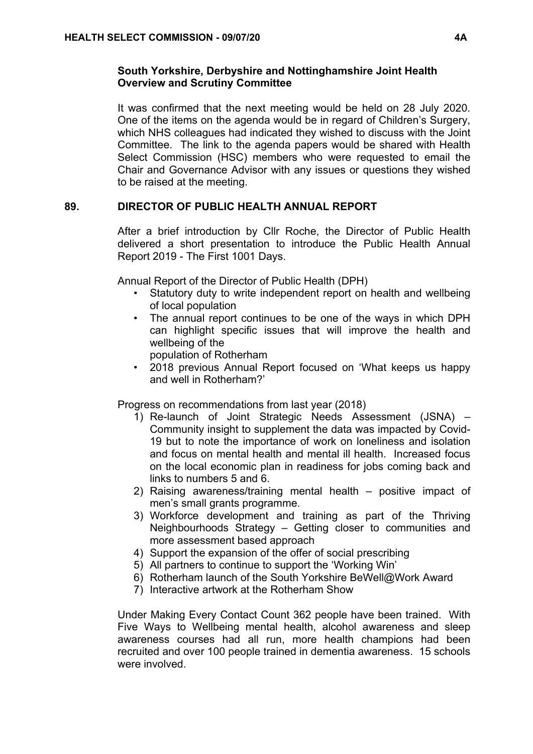## **South Yorkshire, Derbyshire and Nottinghamshire Joint Health Overview and Scrutiny Committee**

It was confirmed that the next meeting would be held on 28 July 2020. One of the items on the agenda would be in regard of Children's Surgery, which NHS colleagues had indicated they wished to discuss with the Joint Committee. The link to the agenda papers would be shared with Health Select Commission (HSC) members who were requested to email the Chair and Governance Advisor with any issues or questions they wished to be raised at the meeting.

# **89. DIRECTOR OF PUBLIC HEALTH ANNUAL REPORT**

After a brief introduction by Cllr Roche, the Director of Public Health delivered a short presentation to introduce the Public Health Annual Report 2019 - The First 1001 Days.

Annual Report of the Director of Public Health (DPH)

- Statutory duty to write independent report on health and wellbeing of local population
- The annual report continues to be one of the ways in which DPH can highlight specific issues that will improve the health and wellbeing of the
	- population of Rotherham
- 2018 previous Annual Report focused on 'What keeps us happy and well in Rotherham?'

Progress on recommendations from last year (2018)

- 1) Re-launch of Joint Strategic Needs Assessment (JSNA) Community insight to supplement the data was impacted by Covid-19 but to note the importance of work on loneliness and isolation and focus on mental health and mental ill health. Increased focus on the local economic plan in readiness for jobs coming back and links to numbers 5 and 6.
- 2) Raising awareness/training mental health positive impact of men's small grants programme.
- 3) Workforce development and training as part of the Thriving Neighbourhoods Strategy – Getting closer to communities and more assessment based approach
- 4) Support the expansion of the offer of social prescribing
- 5) All partners to continue to support the 'Working Win'
- 6) Rotherham launch of the South Yorkshire BeWell@Work Award
- 7) Interactive artwork at the Rotherham Show

Under Making Every Contact Count 362 people have been trained. With Five Ways to Wellbeing mental health, alcohol awareness and sleep awareness courses had all run, more health champions had been recruited and over 100 people trained in dementia awareness. 15 schools were involved.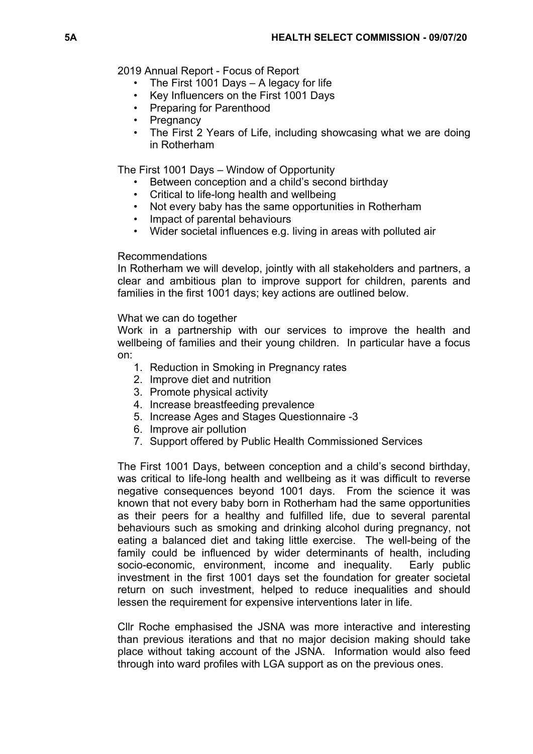2019 Annual Report - Focus of Report

- The First 1001 Days A legacy for life
- Key Influencers on the First 1001 Days
- Preparing for Parenthood
- Pregnancy
- The First 2 Years of Life, including showcasing what we are doing in Rotherham

The First 1001 Days – Window of Opportunity

- Between conception and a child's second birthday
- Critical to life-long health and wellbeing
- Not every baby has the same opportunities in Rotherham
- Impact of parental behaviours
- Wider societal influences e.g. living in areas with polluted air

### Recommendations

In Rotherham we will develop, jointly with all stakeholders and partners, a clear and ambitious plan to improve support for children, parents and families in the first 1001 days; key actions are outlined below.

### What we can do together

Work in a partnership with our services to improve the health and wellbeing of families and their young children. In particular have a focus on:

- 1. Reduction in Smoking in Pregnancy rates
- 2. Improve diet and nutrition
- 3. Promote physical activity
- 4. Increase breastfeeding prevalence
- 5. Increase Ages and Stages Questionnaire -3
- 6. Improve air pollution
- 7. Support offered by Public Health Commissioned Services

The First 1001 Days, between conception and a child's second birthday, was critical to life-long health and wellbeing as it was difficult to reverse negative consequences beyond 1001 days. From the science it was known that not every baby born in Rotherham had the same opportunities as their peers for a healthy and fulfilled life, due to several parental behaviours such as smoking and drinking alcohol during pregnancy, not eating a balanced diet and taking little exercise. The well-being of the family could be influenced by wider determinants of health, including socio-economic, environment, income and inequality. Early public investment in the first 1001 days set the foundation for greater societal return on such investment, helped to reduce inequalities and should lessen the requirement for expensive interventions later in life.

Cllr Roche emphasised the JSNA was more interactive and interesting than previous iterations and that no major decision making should take place without taking account of the JSNA. Information would also feed through into ward profiles with LGA support as on the previous ones.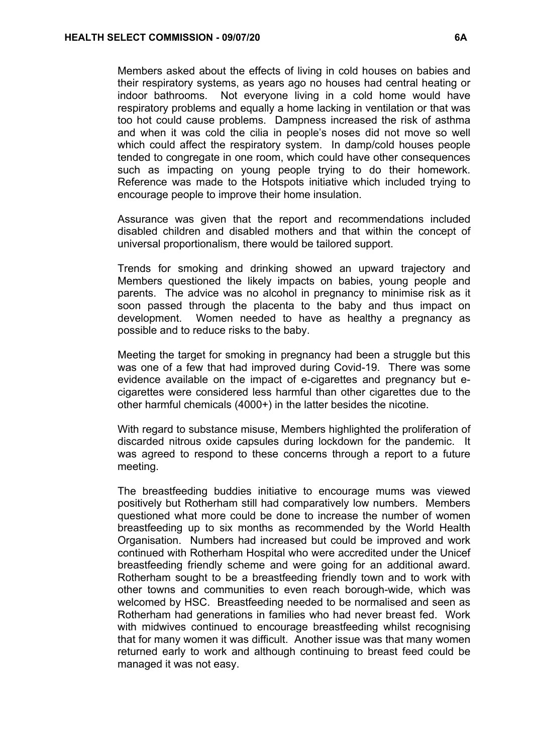Members asked about the effects of living in cold houses on babies and their respiratory systems, as years ago no houses had central heating or indoor bathrooms. Not everyone living in a cold home would have respiratory problems and equally a home lacking in ventilation or that was too hot could cause problems. Dampness increased the risk of asthma and when it was cold the cilia in people's noses did not move so well which could affect the respiratory system. In damp/cold houses people tended to congregate in one room, which could have other consequences such as impacting on young people trying to do their homework. Reference was made to the Hotspots initiative which included trying to encourage people to improve their home insulation.

Assurance was given that the report and recommendations included disabled children and disabled mothers and that within the concept of universal proportionalism, there would be tailored support.

Trends for smoking and drinking showed an upward trajectory and Members questioned the likely impacts on babies, young people and parents. The advice was no alcohol in pregnancy to minimise risk as it soon passed through the placenta to the baby and thus impact on development. Women needed to have as healthy a pregnancy as possible and to reduce risks to the baby.

Meeting the target for smoking in pregnancy had been a struggle but this was one of a few that had improved during Covid-19. There was some evidence available on the impact of e-cigarettes and pregnancy but ecigarettes were considered less harmful than other cigarettes due to the other harmful chemicals (4000+) in the latter besides the nicotine.

With regard to substance misuse, Members highlighted the proliferation of discarded nitrous oxide capsules during lockdown for the pandemic. It was agreed to respond to these concerns through a report to a future meeting.

The breastfeeding buddies initiative to encourage mums was viewed positively but Rotherham still had comparatively low numbers. Members questioned what more could be done to increase the number of women breastfeeding up to six months as recommended by the World Health Organisation. Numbers had increased but could be improved and work continued with Rotherham Hospital who were accredited under the Unicef breastfeeding friendly scheme and were going for an additional award. Rotherham sought to be a breastfeeding friendly town and to work with other towns and communities to even reach borough-wide, which was welcomed by HSC. Breastfeeding needed to be normalised and seen as Rotherham had generations in families who had never breast fed. Work with midwives continued to encourage breastfeeding whilst recognising that for many women it was difficult. Another issue was that many women returned early to work and although continuing to breast feed could be managed it was not easy.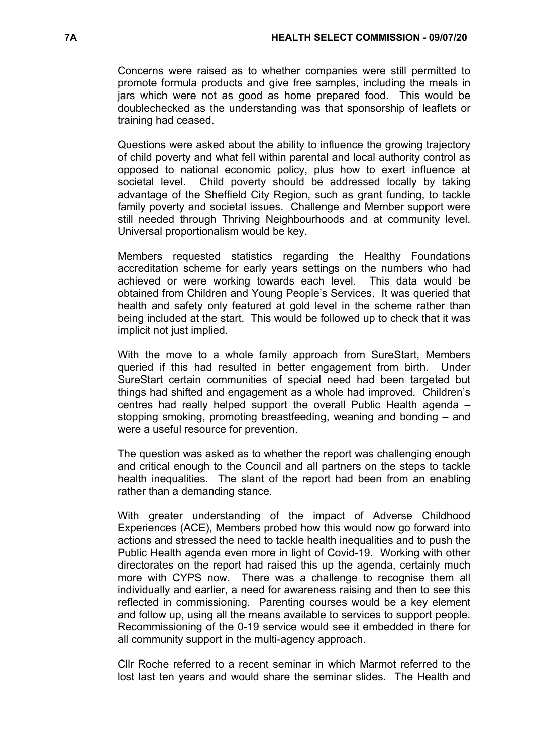Concerns were raised as to whether companies were still permitted to promote formula products and give free samples, including the meals in jars which were not as good as home prepared food. This would be doublechecked as the understanding was that sponsorship of leaflets or training had ceased.

Questions were asked about the ability to influence the growing trajectory of child poverty and what fell within parental and local authority control as opposed to national economic policy, plus how to exert influence at societal level. Child poverty should be addressed locally by taking advantage of the Sheffield City Region, such as grant funding, to tackle family poverty and societal issues. Challenge and Member support were still needed through Thriving Neighbourhoods and at community level. Universal proportionalism would be key.

Members requested statistics regarding the Healthy Foundations accreditation scheme for early years settings on the numbers who had achieved or were working towards each level. This data would be obtained from Children and Young People's Services. It was queried that health and safety only featured at gold level in the scheme rather than being included at the start. This would be followed up to check that it was implicit not just implied.

With the move to a whole family approach from SureStart, Members queried if this had resulted in better engagement from birth. Under SureStart certain communities of special need had been targeted but things had shifted and engagement as a whole had improved. Children's centres had really helped support the overall Public Health agenda – stopping smoking, promoting breastfeeding, weaning and bonding – and were a useful resource for prevention.

The question was asked as to whether the report was challenging enough and critical enough to the Council and all partners on the steps to tackle health inequalities. The slant of the report had been from an enabling rather than a demanding stance.

With greater understanding of the impact of Adverse Childhood Experiences (ACE), Members probed how this would now go forward into actions and stressed the need to tackle health inequalities and to push the Public Health agenda even more in light of Covid-19. Working with other directorates on the report had raised this up the agenda, certainly much more with CYPS now. There was a challenge to recognise them all individually and earlier, a need for awareness raising and then to see this reflected in commissioning. Parenting courses would be a key element and follow up, using all the means available to services to support people. Recommissioning of the 0-19 service would see it embedded in there for all community support in the multi-agency approach.

Cllr Roche referred to a recent seminar in which Marmot referred to the lost last ten years and would share the seminar slides. The Health and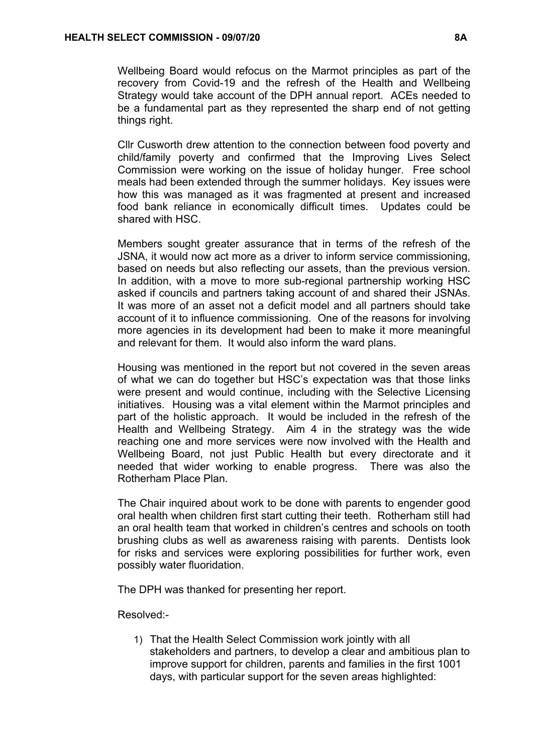Wellbeing Board would refocus on the Marmot principles as part of the recovery from Covid-19 and the refresh of the Health and Wellbeing Strategy would take account of the DPH annual report. ACEs needed to be a fundamental part as they represented the sharp end of not getting things right.

Cllr Cusworth drew attention to the connection between food poverty and child/family poverty and confirmed that the Improving Lives Select Commission were working on the issue of holiday hunger. Free school meals had been extended through the summer holidays. Key issues were how this was managed as it was fragmented at present and increased food bank reliance in economically difficult times. Updates could be shared with HSC.

Members sought greater assurance that in terms of the refresh of the JSNA, it would now act more as a driver to inform service commissioning, based on needs but also reflecting our assets, than the previous version. In addition, with a move to more sub-regional partnership working HSC asked if councils and partners taking account of and shared their JSNAs. It was more of an asset not a deficit model and all partners should take account of it to influence commissioning. One of the reasons for involving more agencies in its development had been to make it more meaningful and relevant for them. It would also inform the ward plans.

Housing was mentioned in the report but not covered in the seven areas of what we can do together but HSC's expectation was that those links were present and would continue, including with the Selective Licensing initiatives. Housing was a vital element within the Marmot principles and part of the holistic approach. It would be included in the refresh of the Health and Wellbeing Strategy. Aim 4 in the strategy was the wide reaching one and more services were now involved with the Health and Wellbeing Board, not just Public Health but every directorate and it needed that wider working to enable progress. There was also the Rotherham Place Plan.

The Chair inquired about work to be done with parents to engender good oral health when children first start cutting their teeth. Rotherham still had an oral health team that worked in children's centres and schools on tooth brushing clubs as well as awareness raising with parents. Dentists look for risks and services were exploring possibilities for further work, even possibly water fluoridation.

The DPH was thanked for presenting her report.

Resolved:-

1) That the Health Select Commission work jointly with all stakeholders and partners, to develop a clear and ambitious plan to improve support for children, parents and families in the first 1001 days, with particular support for the seven areas highlighted: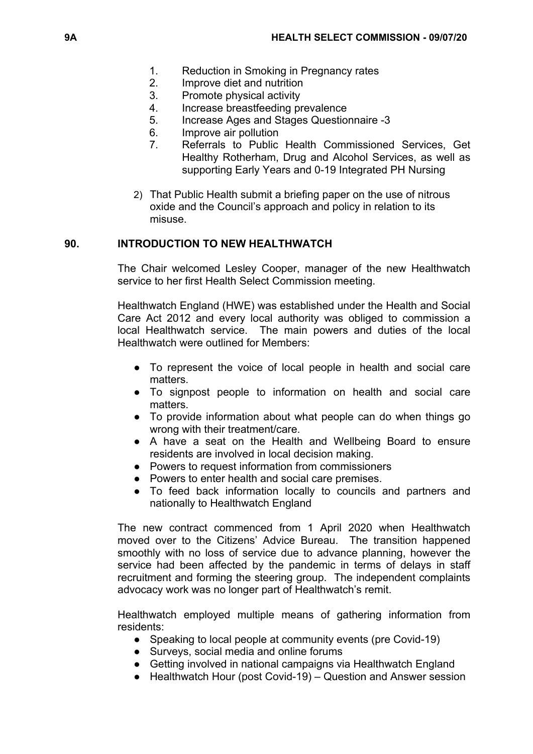- 1. Reduction in Smoking in Pregnancy rates
- 2. Improve diet and nutrition
- 3. Promote physical activity
- 4. Increase breastfeeding prevalence
- 5. Increase Ages and Stages Questionnaire -3
- 6. Improve air pollution
- 7. Referrals to Public Health Commissioned Services, Get Healthy Rotherham, Drug and Alcohol Services, as well as supporting Early Years and 0-19 Integrated PH Nursing
- 2) That Public Health submit a briefing paper on the use of nitrous oxide and the Council's approach and policy in relation to its misuse.

### **90. INTRODUCTION TO NEW HEALTHWATCH**

The Chair welcomed Lesley Cooper, manager of the new Healthwatch service to her first Health Select Commission meeting.

Healthwatch England (HWE) was established under the Health and Social Care Act 2012 and every local authority was obliged to commission a local Healthwatch service. The main powers and duties of the local Healthwatch were outlined for Members:

- To represent the voice of local people in health and social care matters.
- To signpost people to information on health and social care matters.
- To provide information about what people can do when things go wrong with their treatment/care.
- A have a seat on the Health and Wellbeing Board to ensure residents are involved in local decision making.
- Powers to request information from commissioners
- Powers to enter health and social care premises.
- To feed back information locally to councils and partners and nationally to Healthwatch England

The new contract commenced from 1 April 2020 when Healthwatch moved over to the Citizens' Advice Bureau. The transition happened smoothly with no loss of service due to advance planning, however the service had been affected by the pandemic in terms of delays in staff recruitment and forming the steering group. The independent complaints advocacy work was no longer part of Healthwatch's remit.

Healthwatch employed multiple means of gathering information from residents:

- Speaking to local people at community events (pre Covid-19)
- Surveys, social media and online forums
- Getting involved in national campaigns via Healthwatch England
- Healthwatch Hour (post Covid-19) Question and Answer session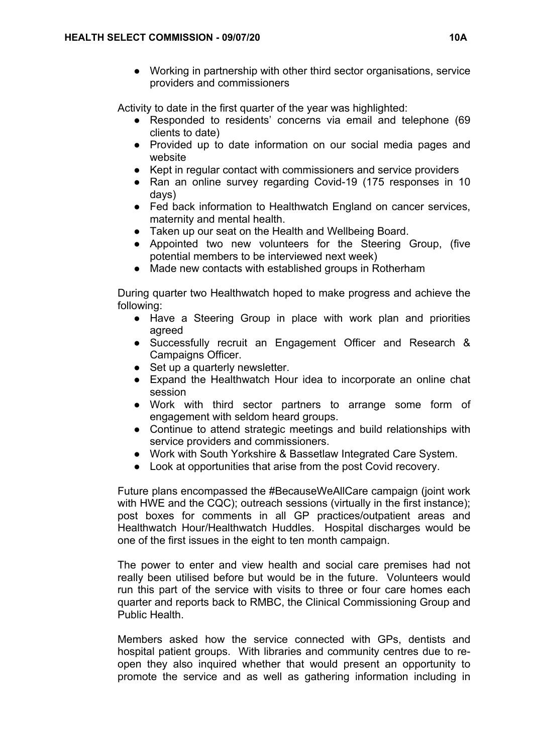● Working in partnership with other third sector organisations, service providers and commissioners

Activity to date in the first quarter of the year was highlighted:

- Responded to residents' concerns via email and telephone (69 clients to date)
- Provided up to date information on our social media pages and website
- Kept in regular contact with commissioners and service providers
- Ran an online survey regarding Covid-19 (175 responses in 10 days)
- Fed back information to Healthwatch England on cancer services, maternity and mental health.
- Taken up our seat on the Health and Wellbeing Board.
- Appointed two new volunteers for the Steering Group, (five potential members to be interviewed next week)
- Made new contacts with established groups in Rotherham

During quarter two Healthwatch hoped to make progress and achieve the following:

- Have a Steering Group in place with work plan and priorities agreed
- Successfully recruit an Engagement Officer and Research & Campaigns Officer.
- Set up a quarterly newsletter.
- Expand the Healthwatch Hour idea to incorporate an online chat session
- Work with third sector partners to arrange some form of engagement with seldom heard groups.
- Continue to attend strategic meetings and build relationships with service providers and commissioners.
- Work with South Yorkshire & Bassetlaw Integrated Care System.
- Look at opportunities that arise from the post Covid recovery.

Future plans encompassed the #BecauseWeAllCare campaign (joint work with HWE and the CQC); outreach sessions (virtually in the first instance); post boxes for comments in all GP practices/outpatient areas and Healthwatch Hour/Healthwatch Huddles. Hospital discharges would be one of the first issues in the eight to ten month campaign.

The power to enter and view health and social care premises had not really been utilised before but would be in the future. Volunteers would run this part of the service with visits to three or four care homes each quarter and reports back to RMBC, the Clinical Commissioning Group and Public Health.

Members asked how the service connected with GPs, dentists and hospital patient groups. With libraries and community centres due to reopen they also inquired whether that would present an opportunity to promote the service and as well as gathering information including in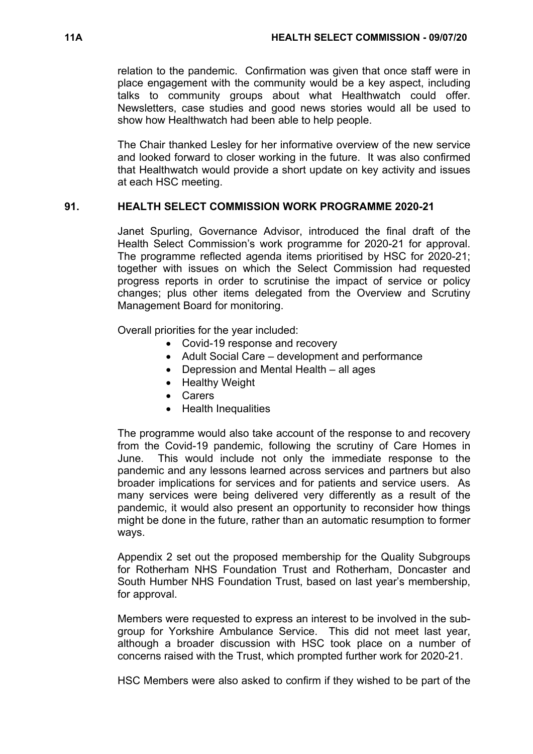relation to the pandemic. Confirmation was given that once staff were in place engagement with the community would be a key aspect, including talks to community groups about what Healthwatch could offer. Newsletters, case studies and good news stories would all be used to show how Healthwatch had been able to help people.

The Chair thanked Lesley for her informative overview of the new service and looked forward to closer working in the future. It was also confirmed that Healthwatch would provide a short update on key activity and issues at each HSC meeting.

# **91. HEALTH SELECT COMMISSION WORK PROGRAMME 2020-21**

Janet Spurling, Governance Advisor, introduced the final draft of the Health Select Commission's work programme for 2020-21 for approval. The programme reflected agenda items prioritised by HSC for 2020-21; together with issues on which the Select Commission had requested progress reports in order to scrutinise the impact of service or policy changes; plus other items delegated from the Overview and Scrutiny Management Board for monitoring.

Overall priorities for the year included:

- Covid-19 response and recovery
- Adult Social Care development and performance
- Depression and Mental Health all ages
- Healthy Weight
- Carers
- Health Inequalities

The programme would also take account of the response to and recovery from the Covid-19 pandemic, following the scrutiny of Care Homes in June. This would include not only the immediate response to the pandemic and any lessons learned across services and partners but also broader implications for services and for patients and service users. As many services were being delivered very differently as a result of the pandemic, it would also present an opportunity to reconsider how things might be done in the future, rather than an automatic resumption to former ways.

Appendix 2 set out the proposed membership for the Quality Subgroups for Rotherham NHS Foundation Trust and Rotherham, Doncaster and South Humber NHS Foundation Trust, based on last year's membership, for approval.

Members were requested to express an interest to be involved in the subgroup for Yorkshire Ambulance Service. This did not meet last year, although a broader discussion with HSC took place on a number of concerns raised with the Trust, which prompted further work for 2020-21.

HSC Members were also asked to confirm if they wished to be part of the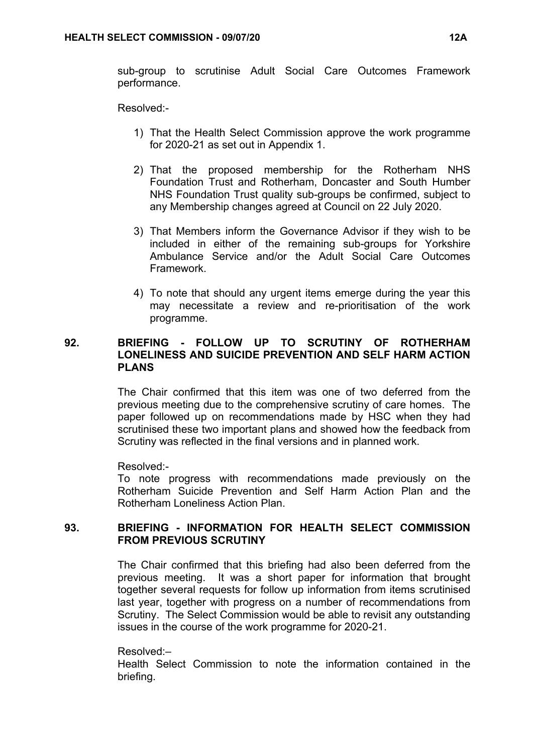sub-group to scrutinise Adult Social Care Outcomes Framework performance.

Resolved:-

- 1) That the Health Select Commission approve the work programme for 2020-21 as set out in Appendix 1.
- 2) That the proposed membership for the Rotherham NHS Foundation Trust and Rotherham, Doncaster and South Humber NHS Foundation Trust quality sub-groups be confirmed, subject to any Membership changes agreed at Council on 22 July 2020.
- 3) That Members inform the Governance Advisor if they wish to be included in either of the remaining sub-groups for Yorkshire Ambulance Service and/or the Adult Social Care Outcomes Framework.
- 4) To note that should any urgent items emerge during the year this may necessitate a review and re-prioritisation of the work programme.

## **92. BRIEFING - FOLLOW UP TO SCRUTINY OF ROTHERHAM LONELINESS AND SUICIDE PREVENTION AND SELF HARM ACTION PLANS**

The Chair confirmed that this item was one of two deferred from the previous meeting due to the comprehensive scrutiny of care homes. The paper followed up on recommendations made by HSC when they had scrutinised these two important plans and showed how the feedback from Scrutiny was reflected in the final versions and in planned work.

Resolved:-

To note progress with recommendations made previously on the Rotherham Suicide Prevention and Self Harm Action Plan and the Rotherham Loneliness Action Plan.

# **93. BRIEFING - INFORMATION FOR HEALTH SELECT COMMISSION FROM PREVIOUS SCRUTINY**

The Chair confirmed that this briefing had also been deferred from the previous meeting. It was a short paper for information that brought together several requests for follow up information from items scrutinised last year, together with progress on a number of recommendations from Scrutiny. The Select Commission would be able to revisit any outstanding issues in the course of the work programme for 2020-21.

Resolved:–

Health Select Commission to note the information contained in the briefing.